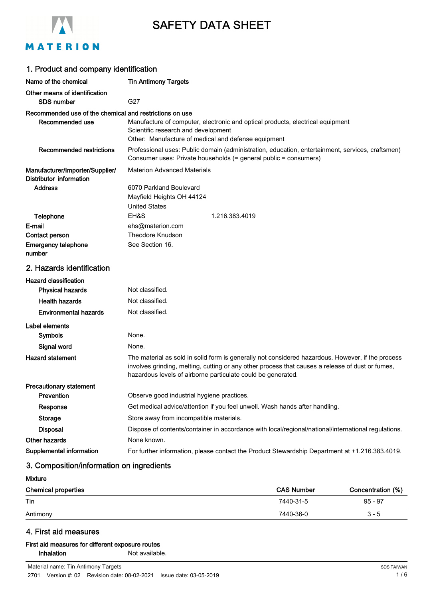

# SAFETY DATA SHEET

# MATERION

| 1. Product and company identification                                      |                                                                                                                                                                                                                                                                       |
|----------------------------------------------------------------------------|-----------------------------------------------------------------------------------------------------------------------------------------------------------------------------------------------------------------------------------------------------------------------|
| Name of the chemical                                                       | <b>Tin Antimony Targets</b>                                                                                                                                                                                                                                           |
| Other means of identification<br><b>SDS number</b>                         | G27                                                                                                                                                                                                                                                                   |
| Recommended use of the chemical and restrictions on use<br>Recommended use | Manufacture of computer, electronic and optical products, electrical equipment<br>Scientific research and development<br>Other: Manufacture of medical and defense equipment                                                                                          |
| <b>Recommended restrictions</b>                                            | Professional uses: Public domain (administration, education, entertainment, services, craftsmen)<br>Consumer uses: Private households (= general public = consumers)                                                                                                  |
| Manufacturer/Importer/Supplier/<br>Distributor information                 | <b>Materion Advanced Materials</b>                                                                                                                                                                                                                                    |
| <b>Address</b>                                                             | 6070 Parkland Boulevard<br>Mayfield Heights OH 44124<br><b>United States</b>                                                                                                                                                                                          |
| Telephone                                                                  | EH&S<br>1.216.383.4019                                                                                                                                                                                                                                                |
| E-mail                                                                     | ehs@materion.com                                                                                                                                                                                                                                                      |
| Contact person                                                             | <b>Theodore Knudson</b>                                                                                                                                                                                                                                               |
| <b>Emergency telephone</b><br>number                                       | See Section 16.                                                                                                                                                                                                                                                       |
| 2. Hazards identification                                                  |                                                                                                                                                                                                                                                                       |
| <b>Hazard classification</b>                                               |                                                                                                                                                                                                                                                                       |
| <b>Physical hazards</b>                                                    | Not classified.                                                                                                                                                                                                                                                       |
| <b>Health hazards</b>                                                      | Not classified.                                                                                                                                                                                                                                                       |
| <b>Environmental hazards</b>                                               | Not classified.                                                                                                                                                                                                                                                       |
| Label elements                                                             |                                                                                                                                                                                                                                                                       |
| Symbols                                                                    | None.                                                                                                                                                                                                                                                                 |
| Signal word                                                                | None.                                                                                                                                                                                                                                                                 |
| <b>Hazard statement</b>                                                    | The material as sold in solid form is generally not considered hazardous. However, if the process<br>involves grinding, melting, cutting or any other process that causes a release of dust or fumes,<br>hazardous levels of airborne particulate could be generated. |
| <b>Precautionary statement</b>                                             |                                                                                                                                                                                                                                                                       |
| Prevention                                                                 | Observe good industrial hygiene practices.                                                                                                                                                                                                                            |
| Response                                                                   | Get medical advice/attention if you feel unwell. Wash hands after handling.                                                                                                                                                                                           |
| <b>Storage</b>                                                             | Store away from incompatible materials.                                                                                                                                                                                                                               |
| <b>Disposal</b>                                                            | Dispose of contents/container in accordance with local/regional/national/international regulations.                                                                                                                                                                   |
| Other hazards                                                              | None known.                                                                                                                                                                                                                                                           |
| Supplemental information                                                   | For further information, please contact the Product Stewardship Department at +1.216.383.4019.                                                                                                                                                                        |
|                                                                            |                                                                                                                                                                                                                                                                       |

## 3. Composition/information on ingredients

| <b>Mixture</b>             |                   |                   |
|----------------------------|-------------------|-------------------|
| <b>Chemical properties</b> | <b>CAS Number</b> | Concentration (%) |
| Tin                        | 7440-31-5         | $95 - 97$         |
| Antimony                   | 7440-36-0         | $3 - 5$           |

# 4. First aid measures

| First aid measures for different exposure routes |                |
|--------------------------------------------------|----------------|
| Inhalation                                       | Not available. |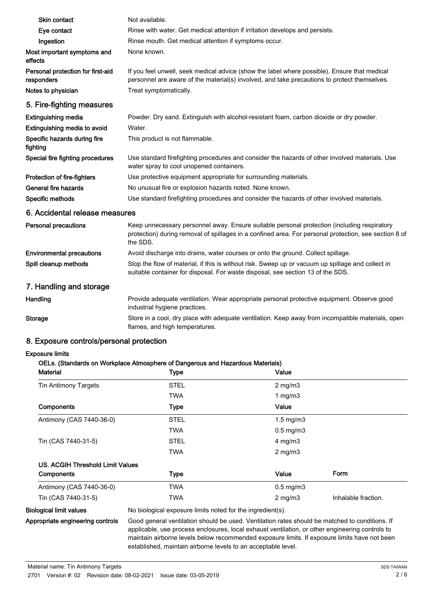| Skin contact                                    | Not available.                                                                                                                                                                                                   |
|-------------------------------------------------|------------------------------------------------------------------------------------------------------------------------------------------------------------------------------------------------------------------|
| Eye contact                                     | Rinse with water. Get medical attention if irritation develops and persists.                                                                                                                                     |
| Ingestion                                       | Rinse mouth. Get medical attention if symptoms occur.                                                                                                                                                            |
| Most important symptoms and<br>effects          | None known.                                                                                                                                                                                                      |
| Personal protection for first-aid<br>responders | If you feel unwell, seek medical advice (show the label where possible). Ensure that medical<br>personnel are aware of the material(s) involved, and take precautions to protect themselves.                     |
| Notes to physician                              | Treat symptomatically.                                                                                                                                                                                           |
| 5. Fire-fighting measures                       |                                                                                                                                                                                                                  |
| <b>Extinguishing media</b>                      | Powder. Dry sand. Extinguish with alcohol-resistant foam, carbon dioxide or dry powder.                                                                                                                          |
| Extinguishing media to avoid                    | Water.                                                                                                                                                                                                           |
| Specific hazards during fire<br>fighting        | This product is not flammable.                                                                                                                                                                                   |
| Special fire fighting procedures                | Use standard firefighting procedures and consider the hazards of other involved materials. Use<br>water spray to cool unopened containers.                                                                       |
| Protection of fire-fighters                     | Use protective equipment appropriate for surrounding materials.                                                                                                                                                  |
| <b>General fire hazards</b>                     | No unusual fire or explosion hazards noted. None known.                                                                                                                                                          |
| Specific methods                                | Use standard firefighting procedures and consider the hazards of other involved materials.                                                                                                                       |
| 6. Accidental release measures                  |                                                                                                                                                                                                                  |
| <b>Personal precautions</b>                     | Keep unnecessary personnel away. Ensure suitable personal protection (including respiratory<br>protection) during removal of spillages in a confined area. For personal protection, see section 8 of<br>the SDS. |
| <b>Environmental precautions</b>                | Avoid discharge into drains, water courses or onto the ground. Collect spillage.                                                                                                                                 |
| Spill cleanup methods                           | Stop the flow of material, if this is without risk. Sweep up or vacuum up spillage and collect in<br>suitable container for disposal. For waste disposal, see section 13 of the SDS.                             |
| 7. Handling and storage                         |                                                                                                                                                                                                                  |
| <b>Handling</b>                                 | Provide adequate ventilation. Wear appropriate personal protective equipment. Observe good<br>industrial hygiene practices.                                                                                      |
| Storage                                         | Store in a cool, dry place with adequate ventilation. Keep away from incompatible materials, open<br>flames, and high temperatures.                                                                              |

### 8. Exposure controls/personal protection

#### Exposure limits

#### OELs. (Standards on Workplace Atmosphere of Dangerous and Hazardous Materials)

| <b>Material</b>                  | <b>Type</b>                                                                                                                                                                                                                       | Value                |                     |
|----------------------------------|-----------------------------------------------------------------------------------------------------------------------------------------------------------------------------------------------------------------------------------|----------------------|---------------------|
| <b>Tin Antimony Targets</b>      | <b>STEL</b>                                                                                                                                                                                                                       | $2$ mg/m $3$         |                     |
|                                  | <b>TWA</b>                                                                                                                                                                                                                        | 1 mg/m $3$           |                     |
| <b>Components</b>                | <b>Type</b>                                                                                                                                                                                                                       | Value                |                     |
| Antimony (CAS 7440-36-0)         | <b>STEL</b>                                                                                                                                                                                                                       | $1.5 \text{ mg/m}$ 3 |                     |
|                                  | <b>TWA</b>                                                                                                                                                                                                                        | $0.5$ mg/m $3$       |                     |
| Tin (CAS 7440-31-5)              | <b>STEL</b>                                                                                                                                                                                                                       | $4$ mg/m $3$         |                     |
|                                  | <b>TWA</b>                                                                                                                                                                                                                        | $2$ mg/m $3$         |                     |
| US. ACGIH Threshold Limit Values |                                                                                                                                                                                                                                   |                      |                     |
| <b>Components</b>                | <b>Type</b>                                                                                                                                                                                                                       | Value                | Form                |
| Antimony (CAS 7440-36-0)         | <b>TWA</b>                                                                                                                                                                                                                        | $0.5$ mg/m $3$       |                     |
| Tin (CAS 7440-31-5)              | <b>TWA</b>                                                                                                                                                                                                                        | $2$ mg/m $3$         | Inhalable fraction. |
| .                                | $\mathbf{M}$ . The contract of the contract of the contract of the contract of the contract of the contract of the contract of the contract of the contract of the contract of the contract of the contract of the contract of th |                      |                     |

Biological limit values No biological exposure limits noted for the ingredient(s).

Appropriate engineering controls

Good general ventilation should be used. Ventilation rates should be matched to conditions. If applicable, use process enclosures, local exhaust ventilation, or other engineering controls to maintain airborne levels below recommended exposure limits. If exposure limits have not been established, maintain airborne levels to an acceptable level.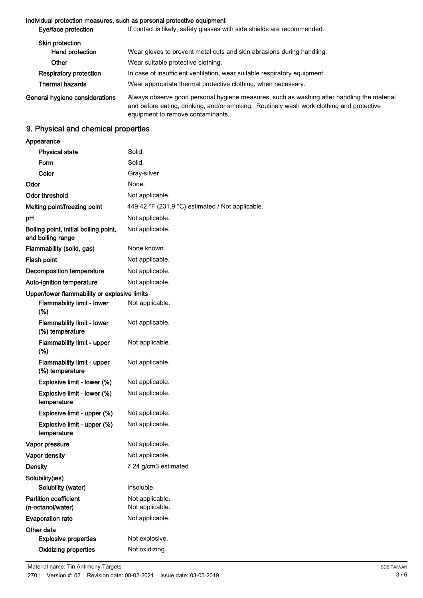#### Individual protection measures, such as personal protective equipment

| Eye/face protection            | If contact is likely, safety glasses with side shields are recommended.                                                                                                                                                     |
|--------------------------------|-----------------------------------------------------------------------------------------------------------------------------------------------------------------------------------------------------------------------------|
| Skin protection                |                                                                                                                                                                                                                             |
| Hand protection                | Wear gloves to prevent metal cuts and skin abrasions during handling.                                                                                                                                                       |
| Other                          | Wear suitable protective clothing.                                                                                                                                                                                          |
| <b>Respiratory protection</b>  | In case of insufficient ventilation, wear suitable respiratory equipment.                                                                                                                                                   |
| Thermal hazards                | Wear appropriate thermal protective clothing, when necessary.                                                                                                                                                               |
| General hygiene considerations | Always observe good personal hygiene measures, such as washing after handling the material<br>and before eating, drinking, and/or smoking. Routinely wash work clothing and protective<br>equipment to remove contaminants. |

# 9. Physical and chemical properties

| Appearance                                                 |                                                                    |
|------------------------------------------------------------|--------------------------------------------------------------------|
| <b>Physical state</b>                                      | Solid.                                                             |
| Form                                                       | Solid.                                                             |
| Color                                                      | Gray-silver                                                        |
| Odor                                                       | None.                                                              |
| <b>Odor threshold</b>                                      | Not applicable.                                                    |
| Melting point/freezing point                               | 449.42 $\degree$ F (231.9 $\degree$ C) estimated / Not applicable. |
| рH                                                         | Not applicable.                                                    |
| Boiling point, initial boiling point,<br>and boiling range | Not applicable.                                                    |
| Flammability (solid, gas)                                  | None known.                                                        |
| Flash point                                                | Not applicable.                                                    |
| <b>Decomposition temperature</b>                           | Not applicable.                                                    |
| Auto-ignition temperature                                  | Not applicable.                                                    |
| Upper/lower flammability or explosive limits               |                                                                    |
| <b>Flammability limit - lower</b><br>(%)                   | Not applicable.                                                    |
| <b>Flammability limit - lower</b><br>(%) temperature       | Not applicable.                                                    |
| <b>Flammability limit - upper</b><br>(%)                   | Not applicable.                                                    |
| <b>Flammability limit - upper</b><br>(%) temperature       | Not applicable.                                                    |
| Explosive limit - lower (%)                                | Not applicable.                                                    |
| Explosive limit - lower (%)<br>temperature                 | Not applicable.                                                    |
| Explosive limit - upper (%)                                | Not applicable.                                                    |
| Explosive limit - upper (%)<br>temperature                 | Not applicable.                                                    |
| Vapor pressure                                             | Not applicable.                                                    |
| <b>Vapor density</b>                                       | Not applicable.                                                    |
| Density                                                    | 7.24 g/cm3 estimated                                               |
| Solubility(ies)                                            |                                                                    |
| Solubility (water)                                         | Insoluble.                                                         |
| <b>Partition coefficient</b>                               | Not applicable.                                                    |
| (n-octanol/water)                                          | Not applicable.                                                    |
| <b>Evaporation rate</b>                                    | Not applicable.                                                    |
| Other data                                                 |                                                                    |
| <b>Explosive properties</b>                                | Not explosive.                                                     |
| <b>Oxidizing properties</b>                                | Not oxidizing.                                                     |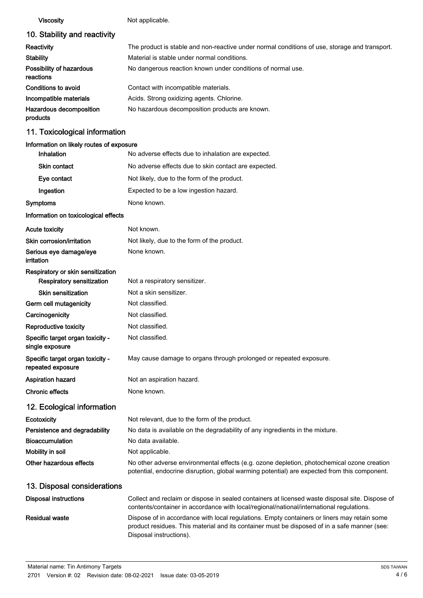Viscosity **Not** applicable.

# 10. Stability and reactivity

| Reactivity                            | The product is stable and non-reactive under normal conditions of use, storage and transport. |
|---------------------------------------|-----------------------------------------------------------------------------------------------|
| <b>Stability</b>                      | Material is stable under normal conditions.                                                   |
| Possibility of hazardous<br>reactions | No dangerous reaction known under conditions of normal use.                                   |
| Conditions to avoid                   | Contact with incompatible materials.                                                          |
| Incompatible materials                | Acids. Strong oxidizing agents. Chlorine.                                                     |
| Hazardous decomposition<br>products   | No hazardous decomposition products are known.                                                |

# 11. Toxicological information

# Information on likely routes of exposure

| Inhalation                                                            | No adverse effects due to inhalation are expected.                                                                                                                                                                     |
|-----------------------------------------------------------------------|------------------------------------------------------------------------------------------------------------------------------------------------------------------------------------------------------------------------|
| <b>Skin contact</b>                                                   | No adverse effects due to skin contact are expected.                                                                                                                                                                   |
| Eye contact                                                           | Not likely, due to the form of the product.                                                                                                                                                                            |
| Ingestion                                                             | Expected to be a low ingestion hazard.                                                                                                                                                                                 |
| <b>Symptoms</b>                                                       | None known.                                                                                                                                                                                                            |
| Information on toxicological effects                                  |                                                                                                                                                                                                                        |
| <b>Acute toxicity</b>                                                 | Not known.                                                                                                                                                                                                             |
| Skin corrosion/irritation                                             | Not likely, due to the form of the product.                                                                                                                                                                            |
| Serious eye damage/eye<br>irritation                                  | None known.                                                                                                                                                                                                            |
| Respiratory or skin sensitization<br><b>Respiratory sensitization</b> | Not a respiratory sensitizer.                                                                                                                                                                                          |
| Skin sensitization                                                    | Not a skin sensitizer.                                                                                                                                                                                                 |
| Germ cell mutagenicity                                                | Not classified.                                                                                                                                                                                                        |
| Carcinogenicity                                                       | Not classified.                                                                                                                                                                                                        |
| Reproductive toxicity                                                 | Not classified.                                                                                                                                                                                                        |
| Specific target organ toxicity -<br>single exposure                   | Not classified.                                                                                                                                                                                                        |
| Specific target organ toxicity -<br>repeated exposure                 | May cause damage to organs through prolonged or repeated exposure.                                                                                                                                                     |
| <b>Aspiration hazard</b>                                              | Not an aspiration hazard.                                                                                                                                                                                              |
| <b>Chronic effects</b>                                                | None known.                                                                                                                                                                                                            |
| 12. Ecological information                                            |                                                                                                                                                                                                                        |
| Ecotoxicity                                                           | Not relevant, due to the form of the product.                                                                                                                                                                          |
| Persistence and degradability                                         | No data is available on the degradability of any ingredients in the mixture.                                                                                                                                           |
| <b>Bioaccumulation</b>                                                | No data available.                                                                                                                                                                                                     |
| Mobility in soil                                                      | Not applicable.                                                                                                                                                                                                        |
| Other hazardous effects                                               | No other adverse environmental effects (e.g. ozone depletion, photochemical ozone creation<br>potential, endocrine disruption, global warming potential) are expected from this component.                             |
| 13. Disposal considerations                                           |                                                                                                                                                                                                                        |
| <b>Disposal instructions</b>                                          | Collect and reclaim or dispose in sealed containers at licensed waste disposal site. Dispose of<br>contents/container in accordance with local/regional/national/international regulations.                            |
| <b>Residual waste</b>                                                 | Dispose of in accordance with local regulations. Empty containers or liners may retain some<br>product residues. This material and its container must be disposed of in a safe manner (see:<br>Disposal instructions). |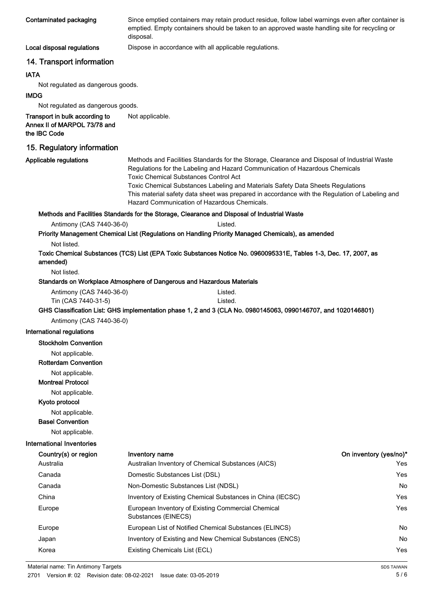| Contaminated packaging                                                         | Since emptied containers may retain product residue, follow label warnings even after container is<br>emptied. Empty containers should be taken to an approved waste handling site for recycling or<br>disposal.                                                                                                                                                                                                                                                  |     |
|--------------------------------------------------------------------------------|-------------------------------------------------------------------------------------------------------------------------------------------------------------------------------------------------------------------------------------------------------------------------------------------------------------------------------------------------------------------------------------------------------------------------------------------------------------------|-----|
| Local disposal regulations                                                     | Dispose in accordance with all applicable regulations.                                                                                                                                                                                                                                                                                                                                                                                                            |     |
| 14. Transport information                                                      |                                                                                                                                                                                                                                                                                                                                                                                                                                                                   |     |
| <b>IATA</b>                                                                    |                                                                                                                                                                                                                                                                                                                                                                                                                                                                   |     |
| Not regulated as dangerous goods.                                              |                                                                                                                                                                                                                                                                                                                                                                                                                                                                   |     |
| <b>IMDG</b>                                                                    |                                                                                                                                                                                                                                                                                                                                                                                                                                                                   |     |
| Not regulated as dangerous goods.                                              |                                                                                                                                                                                                                                                                                                                                                                                                                                                                   |     |
| Transport in bulk according to<br>Annex II of MARPOL 73/78 and<br>the IBC Code | Not applicable.                                                                                                                                                                                                                                                                                                                                                                                                                                                   |     |
| 15. Regulatory information                                                     |                                                                                                                                                                                                                                                                                                                                                                                                                                                                   |     |
| Applicable regulations                                                         | Methods and Facilities Standards for the Storage, Clearance and Disposal of Industrial Waste<br>Regulations for the Labeling and Hazard Communication of Hazardous Chemicals<br><b>Toxic Chemical Substances Control Act</b><br>Toxic Chemical Substances Labeling and Materials Safety Data Sheets Regulations<br>This material safety data sheet was prepared in accordance with the Regulation of Labeling and<br>Hazard Communication of Hazardous Chemicals. |     |
|                                                                                | Methods and Facilities Standards for the Storage, Clearance and Disposal of Industrial Waste                                                                                                                                                                                                                                                                                                                                                                      |     |
| Antimony (CAS 7440-36-0)                                                       | Listed.                                                                                                                                                                                                                                                                                                                                                                                                                                                           |     |
|                                                                                | Priority Management Chemical List (Regulations on Handling Priority Managed Chemicals), as amended                                                                                                                                                                                                                                                                                                                                                                |     |
| Not listed.<br>amended)                                                        | Toxic Chemical Substances (TCS) List (EPA Toxic Substances Notice No. 0960095331E, Tables 1-3, Dec. 17, 2007, as                                                                                                                                                                                                                                                                                                                                                  |     |
| Not listed.                                                                    |                                                                                                                                                                                                                                                                                                                                                                                                                                                                   |     |
| Antimony (CAS 7440-36-0)                                                       | Standards on Workplace Atmosphere of Dangerous and Hazardous Materials<br>Listed.                                                                                                                                                                                                                                                                                                                                                                                 |     |
| Tin (CAS 7440-31-5)                                                            | Listed.                                                                                                                                                                                                                                                                                                                                                                                                                                                           |     |
|                                                                                | GHS Classification List: GHS implementation phase 1, 2 and 3 (CLA No. 0980145063, 0990146707, and 1020146801)                                                                                                                                                                                                                                                                                                                                                     |     |
| Antimony (CAS 7440-36-0)                                                       |                                                                                                                                                                                                                                                                                                                                                                                                                                                                   |     |
| International regulations                                                      |                                                                                                                                                                                                                                                                                                                                                                                                                                                                   |     |
| <b>Stockholm Convention</b>                                                    |                                                                                                                                                                                                                                                                                                                                                                                                                                                                   |     |
| Not applicable.<br><b>Rotterdam Convention</b>                                 |                                                                                                                                                                                                                                                                                                                                                                                                                                                                   |     |
| Not applicable.<br><b>Montreal Protocol</b>                                    |                                                                                                                                                                                                                                                                                                                                                                                                                                                                   |     |
| Not applicable.<br>Kyoto protocol                                              |                                                                                                                                                                                                                                                                                                                                                                                                                                                                   |     |
| Not applicable.<br><b>Basel Convention</b>                                     |                                                                                                                                                                                                                                                                                                                                                                                                                                                                   |     |
| Not applicable.                                                                |                                                                                                                                                                                                                                                                                                                                                                                                                                                                   |     |
| <b>International Inventories</b>                                               |                                                                                                                                                                                                                                                                                                                                                                                                                                                                   |     |
| Country(s) or region                                                           | On inventory (yes/no)*<br>Inventory name                                                                                                                                                                                                                                                                                                                                                                                                                          |     |
| Australia                                                                      | Australian Inventory of Chemical Substances (AICS)                                                                                                                                                                                                                                                                                                                                                                                                                | Yes |
| Canada                                                                         | Domestic Substances List (DSL)                                                                                                                                                                                                                                                                                                                                                                                                                                    | Yes |
| Canada                                                                         | Non-Domestic Substances List (NDSL)                                                                                                                                                                                                                                                                                                                                                                                                                               | No  |
| China                                                                          | Inventory of Existing Chemical Substances in China (IECSC)                                                                                                                                                                                                                                                                                                                                                                                                        | Yes |
| Europe                                                                         | European Inventory of Existing Commercial Chemical<br>Substances (EINECS)                                                                                                                                                                                                                                                                                                                                                                                         | Yes |